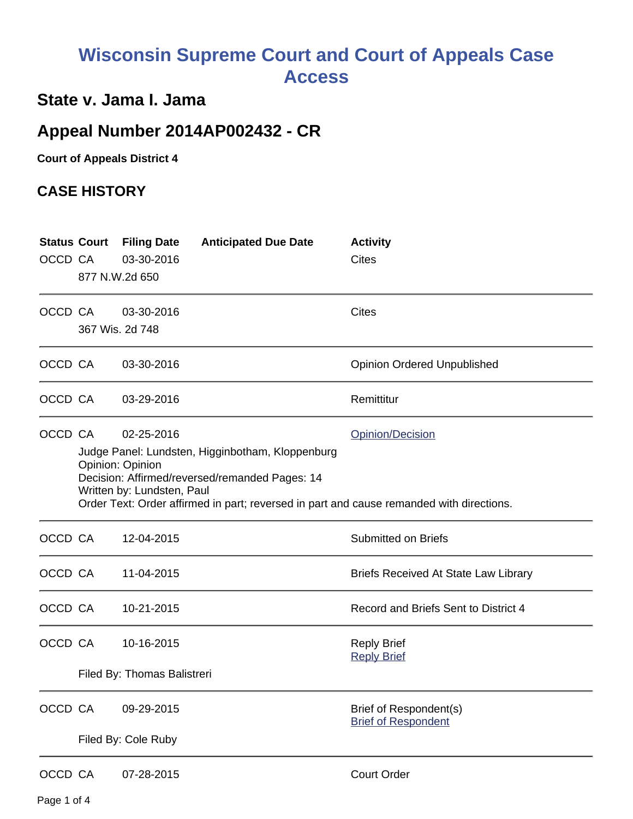# **Wisconsin Supreme Court and Court of Appeals Case Access**

## **State v. Jama I. Jama**

# **Appeal Number 2014AP002432 - CR**

**Court of Appeals District 4**

### **CASE HISTORY**

| OCCD CA |  | <b>Status Court Filing Date</b><br>03-30-2016<br>877 N.W.2d 650                                                                                                                                                                                                                    | <b>Anticipated Due Date</b> | <b>Activity</b><br>Cites                             |  |  |
|---------|--|------------------------------------------------------------------------------------------------------------------------------------------------------------------------------------------------------------------------------------------------------------------------------------|-----------------------------|------------------------------------------------------|--|--|
| OCCD CA |  | 03-30-2016<br>367 Wis. 2d 748                                                                                                                                                                                                                                                      |                             | <b>Cites</b>                                         |  |  |
| OCCD CA |  | 03-30-2016                                                                                                                                                                                                                                                                         |                             | <b>Opinion Ordered Unpublished</b>                   |  |  |
| OCCD CA |  | 03-29-2016                                                                                                                                                                                                                                                                         |                             | Remittitur                                           |  |  |
| OCCD CA |  | 02-25-2016<br>Opinion/Decision<br>Judge Panel: Lundsten, Higginbotham, Kloppenburg<br>Opinion: Opinion<br>Decision: Affirmed/reversed/remanded Pages: 14<br>Written by: Lundsten, Paul<br>Order Text: Order affirmed in part; reversed in part and cause remanded with directions. |                             |                                                      |  |  |
| OCCD CA |  | 12-04-2015                                                                                                                                                                                                                                                                         |                             | <b>Submitted on Briefs</b>                           |  |  |
| OCCD CA |  | 11-04-2015                                                                                                                                                                                                                                                                         |                             | <b>Briefs Received At State Law Library</b>          |  |  |
| OCCD CA |  | 10-21-2015                                                                                                                                                                                                                                                                         |                             | Record and Briefs Sent to District 4                 |  |  |
| OCCD CA |  | 10-16-2015<br>Filed By: Thomas Balistreri                                                                                                                                                                                                                                          |                             | <b>Reply Brief</b><br><b>Reply Brief</b>             |  |  |
|         |  |                                                                                                                                                                                                                                                                                    |                             |                                                      |  |  |
| OCCD CA |  | 09-29-2015                                                                                                                                                                                                                                                                         |                             | Brief of Respondent(s)<br><b>Brief of Respondent</b> |  |  |
|         |  | Filed By: Cole Ruby                                                                                                                                                                                                                                                                |                             |                                                      |  |  |
| OCCD CA |  | 07-28-2015                                                                                                                                                                                                                                                                         |                             | <b>Court Order</b>                                   |  |  |

Page 1 of 4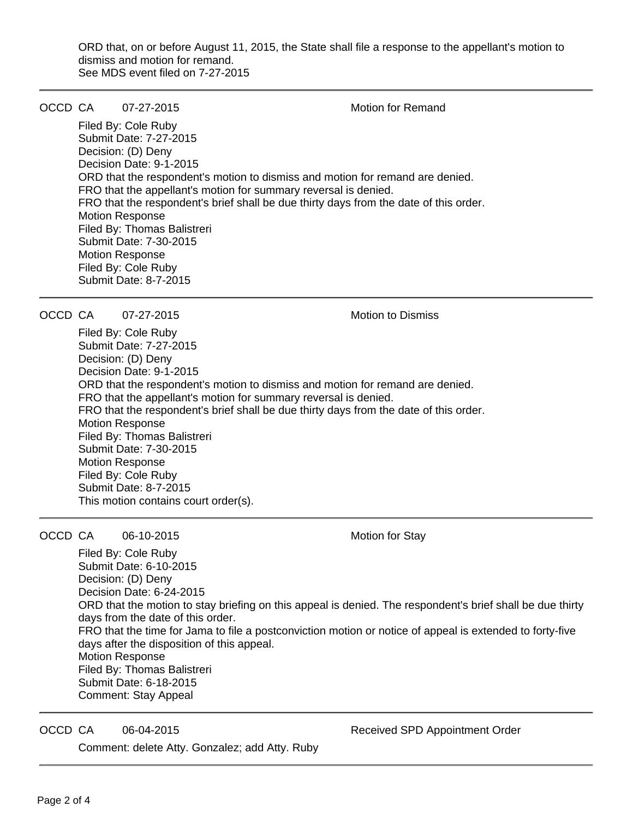ORD that, on or before August 11, 2015, the State shall file a response to the appellant's motion to dismiss and motion for remand. See MDS event filed on 7-27-2015

OCCD CA 07-27-2015 Motion for Remand

Filed By: Cole Ruby Submit Date: 7-27-2015 Decision: (D) Deny Decision Date: 9-1-2015 ORD that the respondent's motion to dismiss and motion for remand are denied. FRO that the appellant's motion for summary reversal is denied. FRO that the respondent's brief shall be due thirty days from the date of this order. Motion Response Filed By: Thomas Balistreri Submit Date: 7-30-2015 Motion Response Filed By: Cole Ruby Submit Date: 8-7-2015

OCCD CA 07-27-2015 Motion to Dismiss

Filed By: Cole Ruby Submit Date: 7-27-2015 Decision: (D) Deny Decision Date: 9-1-2015 ORD that the respondent's motion to dismiss and motion for remand are denied. FRO that the appellant's motion for summary reversal is denied. FRO that the respondent's brief shall be due thirty days from the date of this order. Motion Response Filed By: Thomas Balistreri Submit Date: 7-30-2015 Motion Response Filed By: Cole Ruby Submit Date: 8-7-2015 This motion contains court order(s).

OCCD CA 06-10-2015 Motion for Stay

Filed By: Cole Ruby Submit Date: 6-10-2015 Decision: (D) Deny Decision Date: 6-24-2015 ORD that the motion to stay briefing on this appeal is denied. The respondent's brief shall be due thirty days from the date of this order. FRO that the time for Jama to file a postconviction motion or notice of appeal is extended to forty-five days after the disposition of this appeal. Motion Response Filed By: Thomas Balistreri Submit Date: 6-18-2015 Comment: Stay Appeal

Comment: delete Atty. Gonzalez; add Atty. Ruby

OCCD CA 06-04-2015 **DETER 18 CONTERNATE CONTRACT CONTRACT OR A**ppointment Order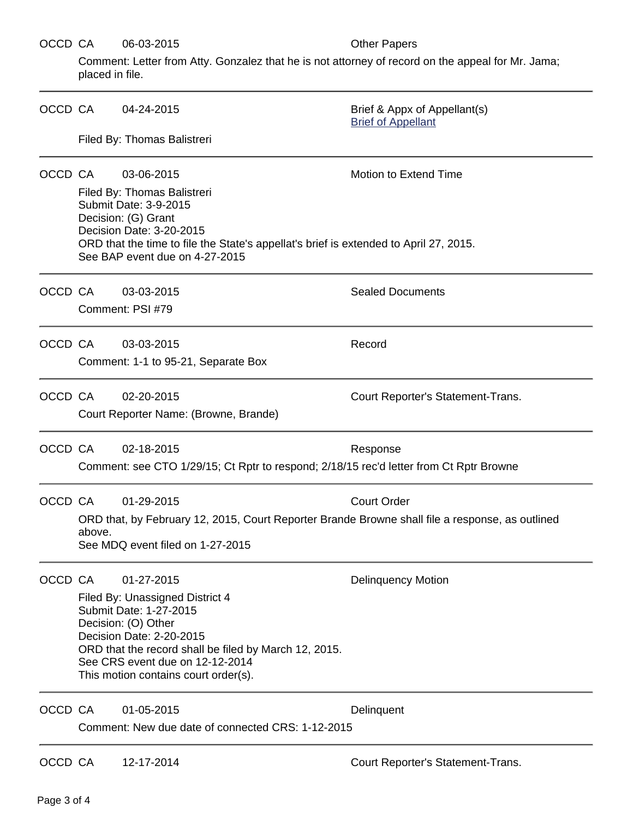#### OCCD CA 06-03-2015 COLLECTER Other Papers

Comment: Letter from Atty. Gonzalez that he is not attorney of record on the appeal for Mr. Jama; placed in file.

| OCCD CA |                                                                                                                                                                                                                                                                                  | 04-24-2015                                                                                           | Brief & Appx of Appellant(s)<br><b>Brief of Appellant</b> |  |  |  |
|---------|----------------------------------------------------------------------------------------------------------------------------------------------------------------------------------------------------------------------------------------------------------------------------------|------------------------------------------------------------------------------------------------------|-----------------------------------------------------------|--|--|--|
|         | Filed By: Thomas Balistreri                                                                                                                                                                                                                                                      |                                                                                                      |                                                           |  |  |  |
| OCCD CA | <b>Motion to Extend Time</b><br>03-06-2015<br>Filed By: Thomas Balistreri<br>Submit Date: 3-9-2015<br>Decision: (G) Grant<br>Decision Date: 3-20-2015<br>ORD that the time to file the State's appellat's brief is extended to April 27, 2015.<br>See BAP event due on 4-27-2015 |                                                                                                      |                                                           |  |  |  |
| OCCD CA |                                                                                                                                                                                                                                                                                  | 03-03-2015<br>Comment: PSI #79                                                                       | <b>Sealed Documents</b>                                   |  |  |  |
| OCCD CA |                                                                                                                                                                                                                                                                                  | 03-03-2015<br>Comment: 1-1 to 95-21, Separate Box                                                    | Record                                                    |  |  |  |
| OCCD CA |                                                                                                                                                                                                                                                                                  | 02-20-2015<br>Court Reporter Name: (Browne, Brande)                                                  | Court Reporter's Statement-Trans.                         |  |  |  |
| OCCD CA |                                                                                                                                                                                                                                                                                  | 02-18-2015<br>Comment: see CTO 1/29/15; Ct Rptr to respond; 2/18/15 rec'd letter from Ct Rptr Browne | Response                                                  |  |  |  |
|         | OCCD CA<br>01-29-2015<br><b>Court Order</b><br>ORD that, by February 12, 2015, Court Reporter Brande Browne shall file a response, as outlined<br>above.<br>See MDQ event filed on 1-27-2015                                                                                     |                                                                                                      |                                                           |  |  |  |
| OCCD CA | 01-27-2015<br>Filed By: Unassigned District 4<br>Submit Date: 1-27-2015<br>Decision: (O) Other<br>Decision Date: 2-20-2015<br>ORD that the record shall be filed by March 12, 2015.<br>See CRS event due on 12-12-2014<br>This motion contains court order(s).                   |                                                                                                      | <b>Delinquency Motion</b>                                 |  |  |  |
| OCCD CA |                                                                                                                                                                                                                                                                                  | 01-05-2015<br>Comment: New due date of connected CRS: 1-12-2015                                      | Delinquent                                                |  |  |  |
| OCCD CA |                                                                                                                                                                                                                                                                                  | 12-17-2014                                                                                           | Court Reporter's Statement-Trans.                         |  |  |  |

Page 3 of 4